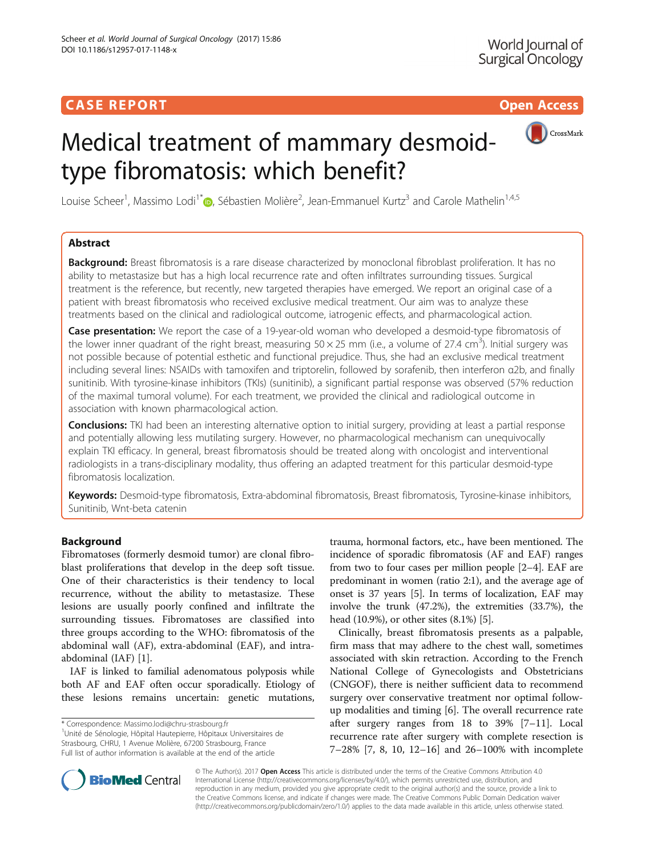# Medical treatment of mammary desmoidtype fibromatosis: which benefit?



Louise Scheer<sup>1</sup>, Massimo Lodi<sup>1\*</sup>®, Sébastien Molière<sup>2</sup>, Jean-Emmanuel Kurtz<sup>3</sup> and Carole Mathelin<sup>1,4,5</sup>

## Abstract

**Background:** Breast fibromatosis is a rare disease characterized by monoclonal fibroblast proliferation. It has no ability to metastasize but has a high local recurrence rate and often infiltrates surrounding tissues. Surgical treatment is the reference, but recently, new targeted therapies have emerged. We report an original case of a patient with breast fibromatosis who received exclusive medical treatment. Our aim was to analyze these treatments based on the clinical and radiological outcome, iatrogenic effects, and pharmacological action.

Case presentation: We report the case of a 19-year-old woman who developed a desmoid-type fibromatosis of the lower inner quadrant of the right breast, measuring  $50 \times 25$  mm (i.e., a volume of 27.4 cm<sup>3</sup>). Initial surgery was not possible because of potential esthetic and functional prejudice. Thus, she had an exclusive medical treatment including several lines: NSAIDs with tamoxifen and triptorelin, followed by sorafenib, then interferon α2b, and finally sunitinib. With tyrosine-kinase inhibitors (TKIs) (sunitinib), a significant partial response was observed (57% reduction of the maximal tumoral volume). For each treatment, we provided the clinical and radiological outcome in association with known pharmacological action.

Conclusions: TKI had been an interesting alternative option to initial surgery, providing at least a partial response and potentially allowing less mutilating surgery. However, no pharmacological mechanism can unequivocally explain TKI efficacy. In general, breast fibromatosis should be treated along with oncologist and interventional radiologists in a trans-disciplinary modality, thus offering an adapted treatment for this particular desmoid-type fibromatosis localization.

Keywords: Desmoid-type fibromatosis, Extra-abdominal fibromatosis, Breast fibromatosis, Tyrosine-kinase inhibitors, Sunitinib, Wnt-beta catenin

## Background

Fibromatoses (formerly desmoid tumor) are clonal fibroblast proliferations that develop in the deep soft tissue. One of their characteristics is their tendency to local recurrence, without the ability to metastasize. These lesions are usually poorly confined and infiltrate the surrounding tissues. Fibromatoses are classified into three groups according to the WHO: fibromatosis of the abdominal wall (AF), extra-abdominal (EAF), and intraabdominal (IAF) [\[1](#page-4-0)].

IAF is linked to familial adenomatous polyposis while both AF and EAF often occur sporadically. Etiology of these lesions remains uncertain: genetic mutations,

\* Correspondence: [Massimo.lodi@chru-strasbourg.fr](mailto:Massimo.lodi@chru-strasbourg.fr) <sup>1</sup>

Unité de Sénologie, Hôpital Hautepierre, Hôpitaux Universitaires de Strasbourg, CHRU, 1 Avenue Molière, 67200 Strasbourg, France Full list of author information is available at the end of the article

trauma, hormonal factors, etc., have been mentioned. The incidence of sporadic fibromatosis (AF and EAF) ranges from two to four cases per million people [[2](#page-4-0)–[4](#page-4-0)]. EAF are predominant in women (ratio 2:1), and the average age of onset is 37 years [\[5](#page-4-0)]. In terms of localization, EAF may involve the trunk (47.2%), the extremities (33.7%), the head (10.9%), or other sites (8.1%) [[5\]](#page-4-0).

Clinically, breast fibromatosis presents as a palpable, firm mass that may adhere to the chest wall, sometimes associated with skin retraction. According to the French National College of Gynecologists and Obstetricians (CNGOF), there is neither sufficient data to recommend surgery over conservative treatment nor optimal followup modalities and timing [[6\]](#page-4-0). The overall recurrence rate after surgery ranges from 18 to 39% [[7](#page-4-0)–[11\]](#page-4-0). Local recurrence rate after surgery with complete resection is 7–28% [\[7](#page-4-0), [8, 10, 12](#page-4-0)–[16](#page-5-0)] and 26–100% with incomplete



© The Author(s). 2017 **Open Access** This article is distributed under the terms of the Creative Commons Attribution 4.0 International License [\(http://creativecommons.org/licenses/by/4.0/](http://creativecommons.org/licenses/by/4.0/)), which permits unrestricted use, distribution, and reproduction in any medium, provided you give appropriate credit to the original author(s) and the source, provide a link to the Creative Commons license, and indicate if changes were made. The Creative Commons Public Domain Dedication waiver [\(http://creativecommons.org/publicdomain/zero/1.0/](http://creativecommons.org/publicdomain/zero/1.0/)) applies to the data made available in this article, unless otherwise stated.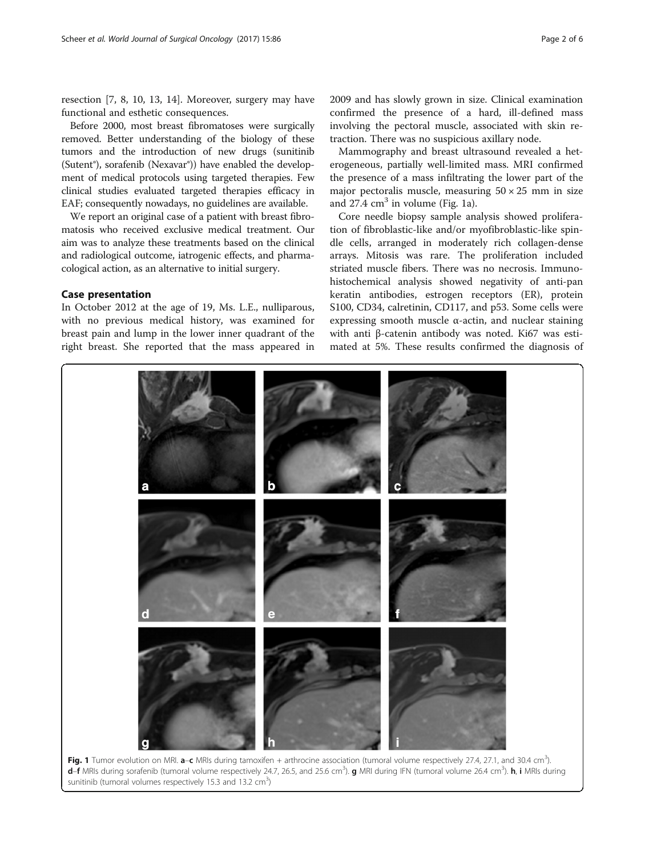<span id="page-1-0"></span>resection [[7, 8](#page-4-0), [10](#page-4-0), [13, 14](#page-5-0)]. Moreover, surgery may have functional and esthetic consequences.

Before 2000, most breast fibromatoses were surgically removed. Better understanding of the biology of these tumors and the introduction of new drugs (sunitinib (Sutent®), sorafenib (Nexavar®)) have enabled the development of medical protocols using targeted therapies. Few clinical studies evaluated targeted therapies efficacy in EAF; consequently nowadays, no guidelines are available.

We report an original case of a patient with breast fibromatosis who received exclusive medical treatment. Our aim was to analyze these treatments based on the clinical and radiological outcome, iatrogenic effects, and pharmacological action, as an alternative to initial surgery.

## Case presentation

In October 2012 at the age of 19, Ms. L.E., nulliparous, with no previous medical history, was examined for breast pain and lump in the lower inner quadrant of the right breast. She reported that the mass appeared in

2009 and has slowly grown in size. Clinical examination confirmed the presence of a hard, ill-defined mass involving the pectoral muscle, associated with skin retraction. There was no suspicious axillary node.

Mammography and breast ultrasound revealed a heterogeneous, partially well-limited mass. MRI confirmed the presence of a mass infiltrating the lower part of the major pectoralis muscle, measuring  $50 \times 25$  mm in size and  $27.4 \text{ cm}^3$  in volume (Fig. 1a).

Core needle biopsy sample analysis showed proliferation of fibroblastic-like and/or myofibroblastic-like spindle cells, arranged in moderately rich collagen-dense arrays. Mitosis was rare. The proliferation included striated muscle fibers. There was no necrosis. Immunohistochemical analysis showed negativity of anti-pan keratin antibodies, estrogen receptors (ER), protein S100, CD34, calretinin, CD117, and p53. Some cells were expressing smooth muscle  $\alpha$ -actin, and nuclear staining with anti β-catenin antibody was noted. Ki67 was estimated at 5%. These results confirmed the diagnosis of



Fig. 1 Tumor evolution on MRI. a-c MRIs during tamoxifen + arthrocine association (tumoral volume respectively 27.4, 27.1, and 30.4 cm<sup>3</sup>). d-f MRIs during sorafenib (tumoral volume respectively 24.7, 26.5, and 25.6 cm<sup>3</sup>). g MRI during IFN (tumoral volume 26.4 cm<sup>3</sup>). h, i MRIs during sunitinib (tumoral volumes respectively 15.3 and 13.2  $\text{cm}^3$ )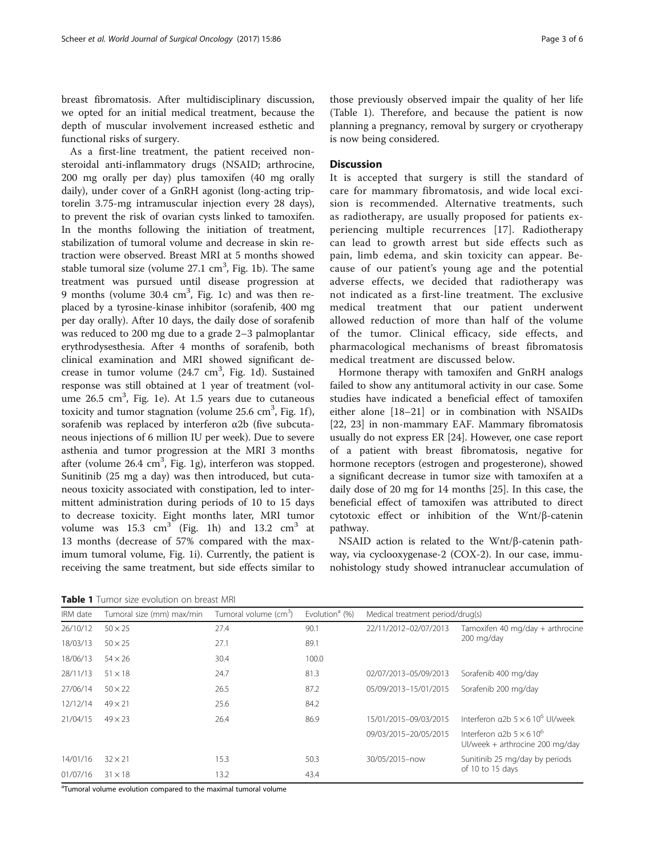breast fibromatosis. After multidisciplinary discussion, we opted for an initial medical treatment, because the depth of muscular involvement increased esthetic and functional risks of surgery.

As a first-line treatment, the patient received nonsteroidal anti-inflammatory drugs (NSAID; arthrocine, 200 mg orally per day) plus tamoxifen (40 mg orally daily), under cover of a GnRH agonist (long-acting triptorelin 3.75-mg intramuscular injection every 28 days), to prevent the risk of ovarian cysts linked to tamoxifen. In the months following the initiation of treatment, stabilization of tumoral volume and decrease in skin retraction were observed. Breast MRI at 5 months showed stable tumoral size (volume  $27.1 \text{ cm}^3$ , Fig. [1b](#page-1-0)). The same treatment was pursued until disease progression at 9 months (volume 30.4 cm<sup>3</sup>, Fig. [1c](#page-1-0)) and was then replaced by a tyrosine-kinase inhibitor (sorafenib, 400 mg per day orally). After 10 days, the daily dose of sorafenib was reduced to 200 mg due to a grade 2–3 palmoplantar erythrodysesthesia. After 4 months of sorafenib, both clinical examination and MRI showed significant de-crease in tumor volume (24.7 cm<sup>3</sup>, Fig. [1d](#page-1-0)). Sustained response was still obtained at 1 year of treatment (volume  $26.5 \text{ cm}^3$ , Fig. [1e](#page-1-0)). At 1.5 years due to cutaneous toxicity and tumor stagnation (volume  $25.6 \text{ cm}^3$ , Fig. [1f](#page-1-0)), sorafenib was replaced by interferon  $\alpha$ 2b (five subcutaneous injections of 6 million IU per week). Due to severe asthenia and tumor progression at the MRI 3 months after (volume 26.4 cm<sup>3</sup>, Fig. [1g\)](#page-1-0), interferon was stopped. Sunitinib (25 mg a day) was then introduced, but cutaneous toxicity associated with constipation, led to intermittent administration during periods of 10 to 15 days to decrease toxicity. Eight months later, MRI tumor volume was  $15.3 \text{ cm}^3$  (Fig. [1h](#page-1-0)) and  $13.2 \text{ cm}^3$  at 13 months (decrease of 57% compared with the maximum tumoral volume, Fig. [1i\)](#page-1-0). Currently, the patient is receiving the same treatment, but side effects similar to

those previously observed impair the quality of her life (Table 1). Therefore, and because the patient is now planning a pregnancy, removal by surgery or cryotherapy is now being considered.

## **Discussion**

It is accepted that surgery is still the standard of care for mammary fibromatosis, and wide local excision is recommended. Alternative treatments, such as radiotherapy, are usually proposed for patients experiencing multiple recurrences [\[17\]](#page-5-0). Radiotherapy can lead to growth arrest but side effects such as pain, limb edema, and skin toxicity can appear. Because of our patient's young age and the potential adverse effects, we decided that radiotherapy was not indicated as a first-line treatment. The exclusive medical treatment that our patient underwent allowed reduction of more than half of the volume of the tumor. Clinical efficacy, side effects, and pharmacological mechanisms of breast fibromatosis medical treatment are discussed below.

Hormone therapy with tamoxifen and GnRH analogs failed to show any antitumoral activity in our case. Some studies have indicated a beneficial effect of tamoxifen either alone [[18](#page-5-0)–[21](#page-5-0)] or in combination with NSAIDs [[22, 23\]](#page-5-0) in non-mammary EAF. Mammary fibromatosis usually do not express ER [\[24](#page-5-0)]. However, one case report of a patient with breast fibromatosis, negative for hormone receptors (estrogen and progesterone), showed a significant decrease in tumor size with tamoxifen at a daily dose of 20 mg for 14 months [[25\]](#page-5-0). In this case, the beneficial effect of tamoxifen was attributed to direct cytotoxic effect or inhibition of the Wnt/β-catenin pathway.

NSAID action is related to the Wnt/β-catenin pathway, via cyclooxygenase-2 (COX-2). In our case, immunohistology study showed intranuclear accumulation of

Table 1 Tumor size evolution on breast MRI

| LUMIL LIULIUI JEU UVULUULI ULI DIUUJU IVII I |                           |                                   |                            |                                  |                                                                    |
|----------------------------------------------|---------------------------|-----------------------------------|----------------------------|----------------------------------|--------------------------------------------------------------------|
| IRM date                                     | Tumoral size (mm) max/min | Tumoral volume (cm <sup>3</sup> ) | Evolution <sup>a</sup> (%) | Medical treatment period/drug(s) |                                                                    |
| 26/10/12                                     | $50 \times 25$            | 27.4                              | 90.1                       | 22/11/2012-02/07/2013            | Tamoxifen 40 mg/day + arthrocine<br>200 mg/day                     |
| 18/03/13                                     | $50 \times 25$            | 27.1                              | 89.1                       |                                  |                                                                    |
| 18/06/13                                     | $54 \times 26$            | 30.4                              | 100.0                      |                                  |                                                                    |
| 28/11/13                                     | $51 \times 18$            | 24.7                              | 81.3                       | 02/07/2013-05/09/2013            | Sorafenib 400 mg/day                                               |
| 27/06/14                                     | $50 \times 22$            | 26.5                              | 87.2                       | 05/09/2013-15/01/2015            | Sorafenib 200 mg/day                                               |
| 12/12/14                                     | $49 \times 21$            | 25.6                              | 84.2                       |                                  |                                                                    |
| 21/04/15                                     | $49 \times 23$            | 26.4                              | 86.9                       | 15/01/2015-09/03/2015            | Interferon $a2b$ 5 $\times$ 6 10 <sup>6</sup> UI/week              |
|                                              |                           |                                   |                            | 09/03/2015-20/05/2015            | Interferon $a2b.5 \times 610^6$<br>UI/week + arthrocine 200 mg/day |
| 14/01/16                                     | $32 \times 21$            | 15.3                              | 50.3                       | 30/05/2015-now                   | Sunitinib 25 mg/day by periods<br>of 10 to 15 days                 |
| 01/07/16                                     | $31 \times 18$            | 13.2                              | 43.4                       |                                  |                                                                    |

<sup>a</sup>Tumoral volume evolution compared to the maximal tumoral volume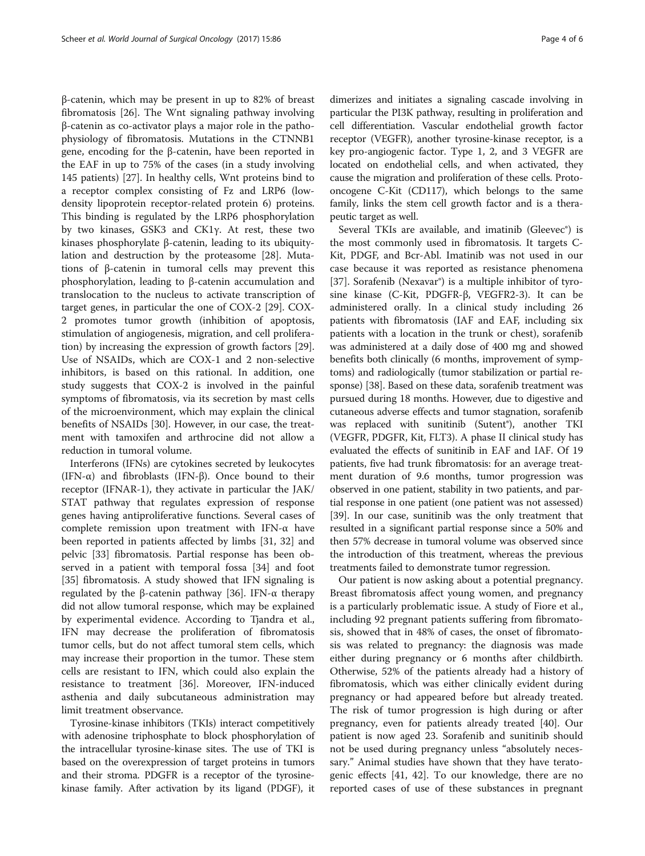β-catenin, which may be present in up to 82% of breast fibromatosis [\[26\]](#page-5-0). The Wnt signaling pathway involving β-catenin as co-activator plays a major role in the pathophysiology of fibromatosis. Mutations in the CTNNB1 gene, encoding for the β-catenin, have been reported in the EAF in up to 75% of the cases (in a study involving 145 patients) [\[27](#page-5-0)]. In healthy cells, Wnt proteins bind to a receptor complex consisting of Fz and LRP6 (lowdensity lipoprotein receptor-related protein 6) proteins. This binding is regulated by the LRP6 phosphorylation by two kinases, GSK3 and CK1γ. At rest, these two kinases phosphorylate β-catenin, leading to its ubiquitylation and destruction by the proteasome [[28\]](#page-5-0). Mutations of β-catenin in tumoral cells may prevent this phosphorylation, leading to β-catenin accumulation and translocation to the nucleus to activate transcription of target genes, in particular the one of COX-2 [[29\]](#page-5-0). COX-2 promotes tumor growth (inhibition of apoptosis, stimulation of angiogenesis, migration, and cell proliferation) by increasing the expression of growth factors [\[29](#page-5-0)]. Use of NSAIDs, which are COX-1 and 2 non-selective inhibitors, is based on this rational. In addition, one study suggests that COX-2 is involved in the painful symptoms of fibromatosis, via its secretion by mast cells of the microenvironment, which may explain the clinical benefits of NSAIDs [[30](#page-5-0)]. However, in our case, the treatment with tamoxifen and arthrocine did not allow a reduction in tumoral volume.

Interferons (IFNs) are cytokines secreted by leukocytes (IFN-α) and fibroblasts (IFN-β). Once bound to their receptor (IFNAR-1), they activate in particular the JAK/ STAT pathway that regulates expression of response genes having antiproliferative functions. Several cases of complete remission upon treatment with IFN-α have been reported in patients affected by limbs [\[31](#page-5-0), [32\]](#page-5-0) and pelvic [\[33\]](#page-5-0) fibromatosis. Partial response has been observed in a patient with temporal fossa [\[34](#page-5-0)] and foot [[35\]](#page-5-0) fibromatosis. A study showed that IFN signaling is regulated by the β-catenin pathway [\[36\]](#page-5-0). IFN-α therapy did not allow tumoral response, which may be explained by experimental evidence. According to Tjandra et al., IFN may decrease the proliferation of fibromatosis tumor cells, but do not affect tumoral stem cells, which may increase their proportion in the tumor. These stem cells are resistant to IFN, which could also explain the resistance to treatment [\[36](#page-5-0)]. Moreover, IFN-induced asthenia and daily subcutaneous administration may limit treatment observance.

Tyrosine-kinase inhibitors (TKIs) interact competitively with adenosine triphosphate to block phosphorylation of the intracellular tyrosine-kinase sites. The use of TKI is based on the overexpression of target proteins in tumors and their stroma. PDGFR is a receptor of the tyrosinekinase family. After activation by its ligand (PDGF), it

dimerizes and initiates a signaling cascade involving in particular the PI3K pathway, resulting in proliferation and cell differentiation. Vascular endothelial growth factor receptor (VEGFR), another tyrosine-kinase receptor, is a key pro-angiogenic factor. Type 1, 2, and 3 VEGFR are located on endothelial cells, and when activated, they cause the migration and proliferation of these cells. Protooncogene C-Kit (CD117), which belongs to the same family, links the stem cell growth factor and is a therapeutic target as well.

Several TKIs are available, and imatinib (Gleevec®) is the most commonly used in fibromatosis. It targets C-Kit, PDGF, and Bcr-Abl. Imatinib was not used in our case because it was reported as resistance phenomena [[37\]](#page-5-0). Sorafenib (Nexavar<sup>®</sup>) is a multiple inhibitor of tyrosine kinase (C-Kit, PDGFR-β, VEGFR2-3). It can be administered orally. In a clinical study including 26 patients with fibromatosis (IAF and EAF, including six patients with a location in the trunk or chest), sorafenib was administered at a daily dose of 400 mg and showed benefits both clinically (6 months, improvement of symptoms) and radiologically (tumor stabilization or partial response) [[38](#page-5-0)]. Based on these data, sorafenib treatment was pursued during 18 months. However, due to digestive and cutaneous adverse effects and tumor stagnation, sorafenib was replaced with sunitinib (Sutent®), another TKI (VEGFR, PDGFR, Kit, FLT3). A phase II clinical study has evaluated the effects of sunitinib in EAF and IAF. Of 19 patients, five had trunk fibromatosis: for an average treatment duration of 9.6 months, tumor progression was observed in one patient, stability in two patients, and partial response in one patient (one patient was not assessed) [[39](#page-5-0)]. In our case, sunitinib was the only treatment that resulted in a significant partial response since a 50% and then 57% decrease in tumoral volume was observed since the introduction of this treatment, whereas the previous treatments failed to demonstrate tumor regression.

Our patient is now asking about a potential pregnancy. Breast fibromatosis affect young women, and pregnancy is a particularly problematic issue. A study of Fiore et al., including 92 pregnant patients suffering from fibromatosis, showed that in 48% of cases, the onset of fibromatosis was related to pregnancy: the diagnosis was made either during pregnancy or 6 months after childbirth. Otherwise, 52% of the patients already had a history of fibromatosis, which was either clinically evident during pregnancy or had appeared before but already treated. The risk of tumor progression is high during or after pregnancy, even for patients already treated [[40\]](#page-5-0). Our patient is now aged 23. Sorafenib and sunitinib should not be used during pregnancy unless "absolutely necessary." Animal studies have shown that they have teratogenic effects [\[41](#page-5-0), [42\]](#page-5-0). To our knowledge, there are no reported cases of use of these substances in pregnant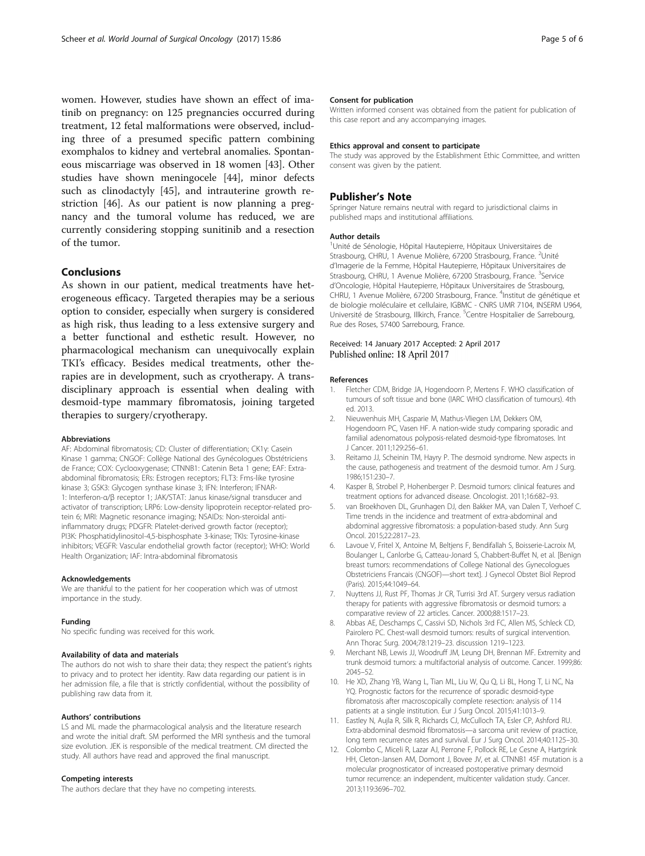<span id="page-4-0"></span>women. However, studies have shown an effect of imatinib on pregnancy: on 125 pregnancies occurred during treatment, 12 fetal malformations were observed, including three of a presumed specific pattern combining exomphalos to kidney and vertebral anomalies. Spontaneous miscarriage was observed in 18 women [[43\]](#page-5-0). Other studies have shown meningocele [[44](#page-5-0)], minor defects such as clinodactyly [\[45\]](#page-5-0), and intrauterine growth restriction [\[46](#page-5-0)]. As our patient is now planning a pregnancy and the tumoral volume has reduced, we are currently considering stopping sunitinib and a resection of the tumor.

## Conclusions

As shown in our patient, medical treatments have heterogeneous efficacy. Targeted therapies may be a serious option to consider, especially when surgery is considered as high risk, thus leading to a less extensive surgery and a better functional and esthetic result. However, no pharmacological mechanism can unequivocally explain TKI's efficacy. Besides medical treatments, other therapies are in development, such as cryotherapy. A transdisciplinary approach is essential when dealing with desmoid-type mammary fibromatosis, joining targeted therapies to surgery/cryotherapy.

#### Abbreviations

AF: Abdominal fibromatosis; CD: Cluster of differentiation; CK1γ: Casein Kinase 1 gamma; CNGOF: Collège National des Gynécologues Obstétriciens de France; COX: Cyclooxygenase; CTNNB1: Catenin Beta 1 gene; EAF: Extraabdominal fibromatosis; ERs: Estrogen receptors; FLT3: Fms-like tyrosine kinase 3; GSK3: Glycogen synthase kinase 3; IFN: Interferon; IFNAR-1: Interferon-α/β receptor 1; JAK/STAT: Janus kinase/signal transducer and activator of transcription; LRP6: Low-density lipoprotein receptor-related protein 6; MRI: Magnetic resonance imaging; NSAIDs: Non-steroidal antiinflammatory drugs; PDGFR: Platelet-derived growth factor (receptor); PI3K: Phosphatidylinositol-4,5-bisphosphate 3-kinase; TKIs: Tyrosine-kinase inhibitors; VEGFR: Vascular endothelial growth factor (receptor); WHO: World Health Organization; IAF: Intra-abdominal fibromatosis

#### Acknowledgements

We are thankful to the patient for her cooperation which was of utmost importance in the study.

#### Funding

No specific funding was received for this work.

#### Availability of data and materials

The authors do not wish to share their data; they respect the patient's rights to privacy and to protect her identity. Raw data regarding our patient is in her admission file, a file that is strictly confidential, without the possibility of publishing raw data from it.

#### Authors' contributions

LS and ML made the pharmacological analysis and the literature research and wrote the initial draft. SM performed the MRI synthesis and the tumoral size evolution. JEK is responsible of the medical treatment. CM directed the study. All authors have read and approved the final manuscript.

#### Competing interests

The authors declare that they have no competing interests.

#### Consent for publication

Written informed consent was obtained from the patient for publication of this case report and any accompanying images.

#### Ethics approval and consent to participate

The study was approved by the Establishment Ethic Committee, and written consent was given by the patient.

### Publisher's Note

Springer Nature remains neutral with regard to jurisdictional claims in published maps and institutional affiliations.

#### Author details

1 Unité de Sénologie, Hôpital Hautepierre, Hôpitaux Universitaires de Strasbourg, CHRU, 1 Avenue Molière, 67200 Strasbourg, France. <sup>2</sup>Unité d'Imagerie de la Femme, Hôpital Hautepierre, Hôpitaux Universitaires de Strasbourg, CHRU, 1 Avenue Molière, 67200 Strasbourg, France. <sup>3</sup>Service d'Oncologie, Hôpital Hautepierre, Hôpitaux Universitaires de Strasbourg, CHRU, 1 Avenue Molière, 67200 Strasbourg, France. <sup>4</sup>Institut de génétique et de biologie moléculaire et cellulaire, IGBMC - CNRS UMR 7104, INSERM U964, Université de Strasbourg, Illkirch, France. <sup>5</sup>Centre Hospitalier de Sarrebourg Rue des Roses, 57400 Sarrebourg, France.

#### Received: 14 January 2017 Accepted: 2 April 2017 Published online: 18 April 2017

#### References

- 1. Fletcher CDM, Bridge JA, Hogendoorn P, Mertens F. WHO classification of tumours of soft tissue and bone (IARC WHO classification of tumours). 4th ed. 2013.
- 2. Nieuwenhuis MH, Casparie M, Mathus-Vliegen LM, Dekkers OM, Hogendoorn PC, Vasen HF. A nation-wide study comparing sporadic and familial adenomatous polyposis-related desmoid-type fibromatoses. Int J Cancer. 2011;129:256–61.
- 3. Reitamo JJ, Scheinin TM, Hayry P. The desmoid syndrome. New aspects in the cause, pathogenesis and treatment of the desmoid tumor. Am J Surg. 1986;151:230–7.
- 4. Kasper B, Strobel P, Hohenberger P. Desmoid tumors: clinical features and treatment options for advanced disease. Oncologist. 2011;16:682–93.
- 5. van Broekhoven DL, Grunhagen DJ, den Bakker MA, van Dalen T, Verhoef C. Time trends in the incidence and treatment of extra-abdominal and abdominal aggressive fibromatosis: a population-based study. Ann Surg Oncol. 2015;22:2817–23.
- 6. Lavoue V, Fritel X, Antoine M, Beltjens F, Bendifallah S, Boisserie-Lacroix M, Boulanger L, Canlorbe G, Catteau-Jonard S, Chabbert-Buffet N, et al. [Benign breast tumors: recommendations of College National des Gynecologues Obstetriciens Francais (CNGOF)—short text]. J Gynecol Obstet Biol Reprod (Paris). 2015;44:1049–64.
- 7. Nuyttens JJ, Rust PF, Thomas Jr CR, Turrisi 3rd AT. Surgery versus radiation therapy for patients with aggressive fibromatosis or desmoid tumors: a comparative review of 22 articles. Cancer. 2000;88:1517–23.
- 8. Abbas AE, Deschamps C, Cassivi SD, Nichols 3rd FC, Allen MS, Schleck CD, Pairolero PC. Chest-wall desmoid tumors: results of surgical intervention. Ann Thorac Surg. 2004;78:1219–23. discussion 1219–1223.
- 9. Merchant NB, Lewis JJ, Woodruff JM, Leung DH, Brennan MF. Extremity and trunk desmoid tumors: a multifactorial analysis of outcome. Cancer. 1999;86: 2045–52.
- 10. He XD, Zhang YB, Wang L, Tian ML, Liu W, Qu Q, Li BL, Hong T, Li NC, Na YQ. Prognostic factors for the recurrence of sporadic desmoid-type fibromatosis after macroscopically complete resection: analysis of 114 patients at a single institution. Eur J Surg Oncol. 2015;41:1013–9.
- 11. Eastley N, Aujla R, Silk R, Richards CJ, McCulloch TA, Esler CP, Ashford RU. Extra-abdominal desmoid fibromatosis—a sarcoma unit review of practice, long term recurrence rates and survival. Eur J Surg Oncol. 2014;40:1125–30.
- 12. Colombo C, Miceli R, Lazar AJ, Perrone F, Pollock RE, Le Cesne A, Hartgrink HH, Cleton-Jansen AM, Domont J, Bovee JV, et al. CTNNB1 45F mutation is a molecular prognosticator of increased postoperative primary desmoid tumor recurrence: an independent, multicenter validation study. Cancer. 2013;119:3696–702.